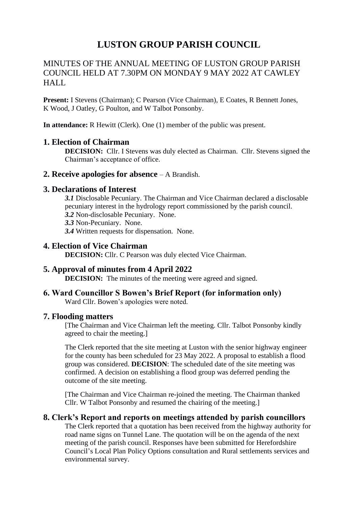# **LUSTON GROUP PARISH COUNCIL**

### MINUTES OF THE ANNUAL MEETING OF LUSTON GROUP PARISH COUNCIL HELD AT 7.30PM ON MONDAY 9 MAY 2022 AT CAWLEY HALL

**Present:** I Stevens (Chairman); C Pearson (Vice Chairman), E Coates, R Bennett Jones, K Wood, J Oatley, G Poulton, and W Talbot Ponsonby.

**In attendance:** R Hewitt (Clerk). One (1) member of the public was present.

#### **1. Election of Chairman**

**DECISION:** Cllr. I Stevens was duly elected as Chairman. Cllr. Stevens signed the Chairman's acceptance of office.

**2. Receive apologies for absence** – A Brandish.

#### **3. Declarations of Interest**

- *3.1* Disclosable Pecuniary. The Chairman and Vice Chairman declared a disclosable pecuniary interest in the hydrology report commissioned by the parish council.
- *3.2* Non-disclosable Pecuniary. None.
- *3.3* Non-Pecuniary. None.
- *3.4* Written requests for dispensation. None.

#### **4. Election of Vice Chairman**

**DECISION:** Cllr. C Pearson was duly elected Vice Chairman.

## **5. Approval of minutes from 4 April 2022**

**DECISION:** The minutes of the meeting were agreed and signed.

## **6. Ward Councillor S Bowen's Brief Report (for information only)**

Ward Cllr. Bowen's apologies were noted.

#### **7. Flooding matters**

[The Chairman and Vice Chairman left the meeting. Cllr. Talbot Ponsonby kindly agreed to chair the meeting.]

The Clerk reported that the site meeting at Luston with the senior highway engineer for the county has been scheduled for 23 May 2022. A proposal to establish a flood group was considered. **DECISION**: The scheduled date of the site meeting was confirmed. A decision on establishing a flood group was deferred pending the outcome of the site meeting.

[The Chairman and Vice Chairman re-joined the meeting. The Chairman thanked Cllr. W Talbot Ponsonby and resumed the chairing of the meeting.]

#### **8. Clerk's Report and reports on meetings attended by parish councillors**

The Clerk reported that a quotation has been received from the highway authority for road name signs on Tunnel Lane. The quotation will be on the agenda of the next meeting of the parish council. Responses have been submitted for Herefordshire Council's Local Plan Policy Options consultation and Rural settlements services and environmental survey.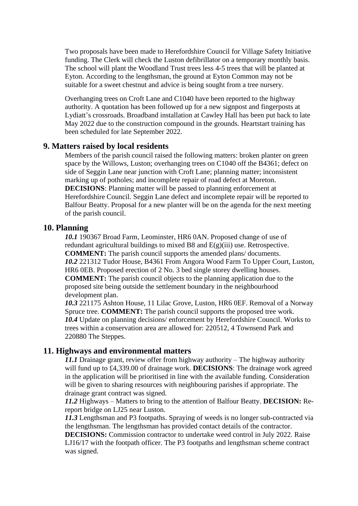Two proposals have been made to Herefordshire Council for Village Safety Initiative funding. The Clerk will check the Luston defibrillator on a temporary monthly basis. The school will plant the Woodland Trust trees less 4-5 trees that will be planted at Eyton. According to the lengthsman, the ground at Eyton Common may not be suitable for a sweet chestnut and advice is being sought from a tree nursery.

Overhanging trees on Croft Lane and C1040 have been reported to the highway authority. A quotation has been followed up for a new signpost and fingerposts at Lydiatt's crossroads. Broadband installation at Cawley Hall has been put back to late May 2022 due to the construction compound in the grounds. Heartstart training has been scheduled for late September 2022.

#### **9. Matters raised by local residents**

Members of the parish council raised the following matters: broken planter on green space by the Willows, Luston; overhanging trees on C1040 off the B4361; defect on side of Seggin Lane near junction with Croft Lane; planning matter; inconsistent marking up of potholes; and incomplete repair of road defect at Moreton. **DECISIONS**: Planning matter will be passed to planning enforcement at Herefordshire Council. Seggin Lane defect and incomplete repair will be reported to Balfour Beatty. Proposal for a new planter will be on the agenda for the next meeting of the parish council.

#### **10. Planning**

*10.1* 190367 Broad Farm, Leominster, HR6 0AN. Proposed change of use of redundant agricultural buildings to mixed B8 and E(g)(iii) use. Retrospective. **COMMENT:** The parish council supports the amended plans/ documents. *10.2* 221312 Tudor House, B4361 From Angora Wood Farm To Upper Court, Luston, HR6 0EB. Proposed erection of 2 No. 3 bed single storey dwelling houses. **COMMENT:** The parish council objects to the planning application due to the proposed site being outside the settlement boundary in the neighbourhood development plan.

*10.3* 221175 Ashton House, 11 Lilac Grove, Luston, HR6 0EF. Removal of a Norway Spruce tree. **COMMENT:** The parish council supports the proposed tree work. *10.4* Update on planning decisions/ enforcement by Herefordshire Council. Works to trees within a conservation area are allowed for: 220512, 4 Townsend Park and 220880 The Steppes.

#### **11. Highways and environmental matters**

*11.1* Drainage grant, review offer from highway authority – The highway authority will fund up to £4,339.00 of drainage work. **DECISIONS**: The drainage work agreed in the application will be prioritised in line with the available funding. Consideration will be given to sharing resources with neighbouring parishes if appropriate. The drainage grant contract was signed.

*11.2* Highways – Matters to bring to the attention of Balfour Beatty. **DECISION:** Rereport bridge on LJ25 near Luston.

*11.3* Lengthsman and P3 footpaths. Spraying of weeds is no longer sub-contracted via the lengthsman. The lengthsman has provided contact details of the contractor.

**DECISIONS:** Commission contractor to undertake weed control in July 2022. Raise LJ16/17 with the footpath officer. The P3 footpaths and lengthsman scheme contract was signed.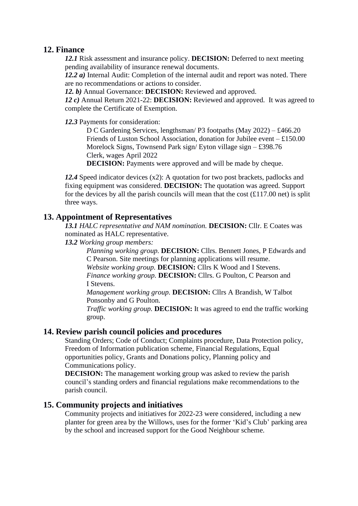#### **12. Finance**

*12.1* Risk assessment and insurance policy. **DECISION:** Deferred to next meeting pending availability of insurance renewal documents.

*12.2 a)* Internal Audit: Completion of the internal audit and report was noted. There are no recommendations or actions to consider.

*12. b)* Annual Governance: **DECISION:** Reviewed and approved.

*12 c)* Annual Return 2021-22: **DECISION:** Reviewed and approved. It was agreed to complete the Certificate of Exemption.

*12.3* Payments for consideration:

D C Gardening Services, lengthsman/ P3 footpaths (May 2022) – £466.20 Friends of Luston School Association, donation for Jubilee event – £150.00 Morelock Signs, Townsend Park sign/ Eyton village sign – £398.76 Clerk, wages April 2022

**DECISION:** Payments were approved and will be made by cheque.

*12.4* Speed indicator devices (x2): A quotation for two post brackets, padlocks and fixing equipment was considered. **DECISION:** The quotation was agreed. Support for the devices by all the parish councils will mean that the cost  $(\text{\pounds}117.00 \text{ net})$  is split three ways.

#### **13. Appointment of Representatives**

*13.1 HALC representative and NAM nomination.* **DECISION:** Cllr. E Coates was nominated as HALC representative.

*13.2 Working group members:*

*Planning working group.* **DECISION:** Cllrs. Bennett Jones, P Edwards and C Pearson. Site meetings for planning applications will resume.

*Website working group.* **DECISION:** Cllrs K Wood and I Stevens.

*Finance working group.* **DECISION:** Cllrs. G Poulton, C Pearson and I Stevens.

*Management working group.* **DECISION:** Cllrs A Brandish, W Talbot Ponsonby and G Poulton.

*Traffic working group.* **DECISION:** It was agreed to end the traffic working group.

#### **14. Review parish council policies and procedures**

Standing Orders; Code of Conduct; Complaints procedure, Data Protection policy, Freedom of Information publication scheme, Financial Regulations, Equal opportunities policy, Grants and Donations policy, Planning policy and Communications policy.

**DECISION:** The management working group was asked to review the parish council's standing orders and financial regulations make recommendations to the parish council.

#### **15. Community projects and initiatives**

Community projects and initiatives for 2022-23 were considered, including a new planter for green area by the Willows, uses for the former 'Kid's Club' parking area by the school and increased support for the Good Neighbour scheme.